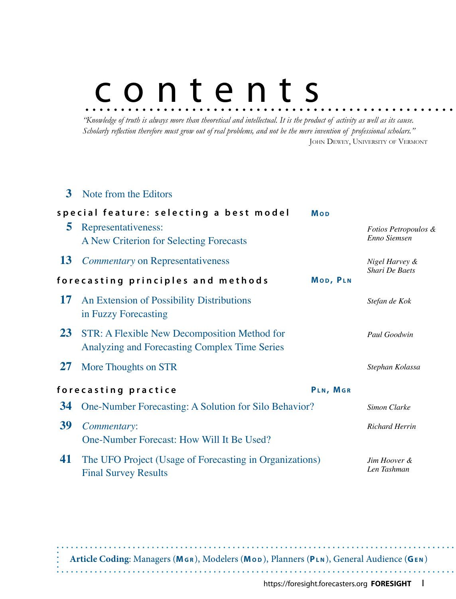# contents

*"Knowledge of truth is always more than theoretical and intellectual. It is the product of activity as well as its cause. Scholarly reflection therefore must grow out of real problems, and not be the mere invention of professional scholars."* JOHN DEWEY, UNIVERSITY OF VERMONT

### **3**  Note from the Editors

|           | special feature: selecting a best model                                                       | <b>Mop</b> |                                                 |
|-----------|-----------------------------------------------------------------------------------------------|------------|-------------------------------------------------|
| 5         | Representativeness:<br>A New Criterion for Selecting Forecasts                                |            | <i>Fotios Petropoulos &amp;</i><br>Enno Siemsen |
| <b>13</b> | <b>Commentary on Representativeness</b>                                                       |            | Nigel Harvey &<br><b>Shari De Baets</b>         |
|           | forecasting principles and methods                                                            | MOD, PLN   |                                                 |
| 17        | An Extension of Possibility Distributions<br>in Fuzzy Forecasting                             |            | Stefan de Kok                                   |
| 23        | STR: A Flexible New Decomposition Method for<br>Analyzing and Forecasting Complex Time Series |            | Paul Goodwin                                    |
| 27        | More Thoughts on STR                                                                          |            | Stephan Kolassa                                 |
|           | forecasting practice                                                                          | PLN, MGR   |                                                 |
| 34        | One-Number Forecasting: A Solution for Silo Behavior?                                         |            | Simon Clarke                                    |
| 39        | Commentary:<br>One-Number Forecast: How Will It Be Used?                                      |            | <b>Richard Herrin</b>                           |
| 41        | The UFO Project (Usage of Forecasting in Organizations)<br><b>Final Survey Results</b>        |            | Jim Hoover &<br>Len Tashman                     |

**Article Coding**: Managers (**Mg r** ), Modelers (**Mo d** ), Planners (**Pl n** ), General Audience (**Ge n** )